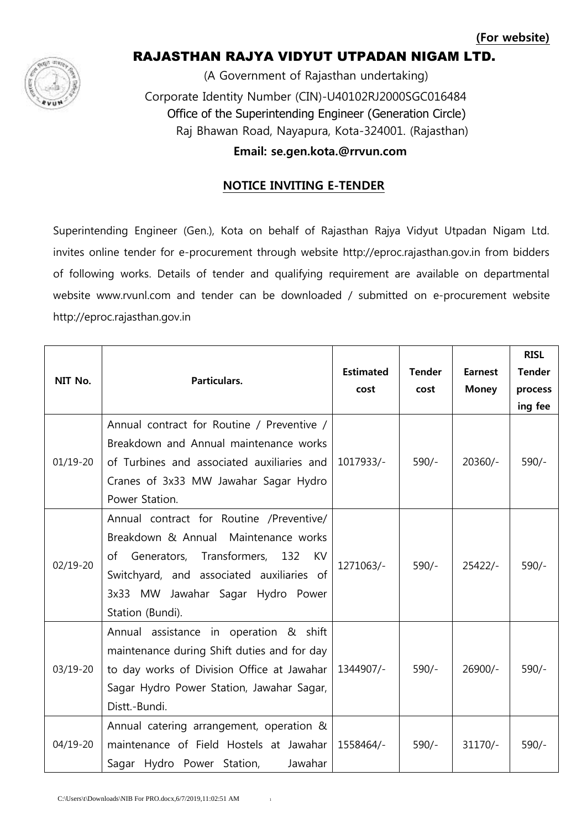

# RAJASTHAN RAJYA VIDYUT UTPADAN NIGAM LTD.

 (A Government of Rajasthan undertaking) Corporate Identity Number (CIN)-U40102RJ2000SGC016484 Office of the Superintending Engineer (Generation Circle) Raj Bhawan Road, Nayapura, Kota-324001. (Rajasthan)

 **Email: se.gen.kota.@rrvun.com**

## **NOTICE INVITING E-TENDER**

Superintending Engineer (Gen.), Kota on behalf of Rajasthan Rajya Vidyut Utpadan Nigam Ltd. invites online tender for e-procurement through website http://eproc.rajasthan.gov.in from bidders of following works. Details of tender and qualifying requirement are available on departmental website www.rvunl.com and tender can be downloaded / submitted on e-procurement website http://eproc.rajasthan.gov.in

| NIT No.      | Particulars.                                                                                                                                                                                                                     | <b>Estimated</b><br>cost | <b>Tender</b><br>cost | <b>Earnest</b><br><b>Money</b> | <b>RISL</b><br><b>Tender</b><br>process<br>ing fee |
|--------------|----------------------------------------------------------------------------------------------------------------------------------------------------------------------------------------------------------------------------------|--------------------------|-----------------------|--------------------------------|----------------------------------------------------|
| $01/19 - 20$ | Annual contract for Routine / Preventive /<br>Breakdown and Annual maintenance works<br>of Turbines and associated auxiliaries and<br>Cranes of 3x33 MW Jawahar Sagar Hydro<br>Power Station.                                    | 1017933/-                | $590/-$               | $20360/-$                      | $590/-$                                            |
| $02/19 - 20$ | Annual contract for Routine /Preventive/<br>Breakdown & Annual Maintenance works<br>of Generators, Transformers, 132<br>KV<br>Switchyard, and associated auxiliaries of<br>3x33 MW Jawahar Sagar Hydro Power<br>Station (Bundi). | 1271063/-                | $590/-$               | $25422/-$                      | $590/-$                                            |
| 03/19-20     | Annual assistance in operation & shift<br>maintenance during Shift duties and for day<br>to day works of Division Office at Jawahar<br>Sagar Hydro Power Station, Jawahar Sagar,<br>Distt.-Bundi.                                | 1344907/-                | $590/-$               | $26900/-$                      | $590/-$                                            |
| $04/19 - 20$ | Annual catering arrangement, operation &<br>maintenance of Field Hostels at Jawahar<br>Sagar Hydro Power Station,<br>Jawahar                                                                                                     | 1558464/-                | $590/-$               | $31170/-$                      | $590/-$                                            |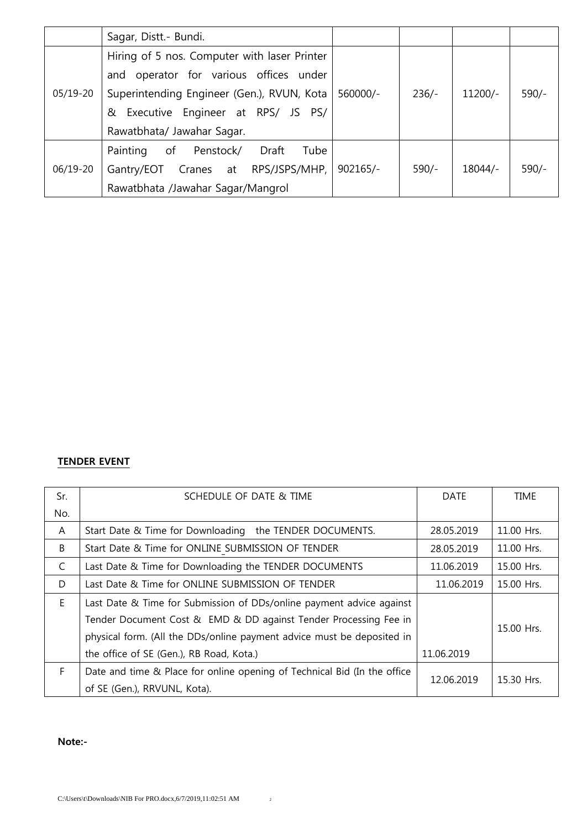|          | Sagar, Distt.- Bundi.                        |            |         |         |         |
|----------|----------------------------------------------|------------|---------|---------|---------|
| 05/19-20 | Hiring of 5 nos. Computer with laser Printer |            |         |         |         |
|          | operator for various offices under<br>and    |            |         |         |         |
|          | Superintending Engineer (Gen.), RVUN, Kota   | 560000/-   | $236/-$ | 11200/- | $590/-$ |
|          | Executive Engineer at RPS/ JS PS/<br>&       |            |         |         |         |
|          | Rawatbhata/ Jawahar Sagar.                   |            |         |         |         |
| 06/19-20 | of<br>Draft<br>Penstock/<br>Tube<br>Painting |            |         |         |         |
|          | Cranes at RPS/JSPS/MHP,<br>Gantry/EOT        | $902165/-$ | $590/-$ | 18044/- | $590/-$ |
|          | Rawatbhata /Jawahar Sagar/Mangrol            |            |         |         |         |

### **TENDER EVENT**

| Sr. | SCHEDULE OF DATE & TIME                                                  | DATE       | <b>TIME</b> |  |
|-----|--------------------------------------------------------------------------|------------|-------------|--|
| No. |                                                                          |            |             |  |
| A   | Start Date & Time for Downloading the TENDER DOCUMENTS.                  | 28.05.2019 | 11.00 Hrs.  |  |
| B   | Start Date & Time for ONLINE SUBMISSION OF TENDER                        | 28.05.2019 | 11.00 Hrs.  |  |
| C   | Last Date & Time for Downloading the TENDER DOCUMENTS                    | 11.06.2019 | 15.00 Hrs.  |  |
| D   | Last Date & Time for ONLINE SUBMISSION OF TENDER                         | 11.06.2019 | 15.00 Hrs.  |  |
| E.  | Last Date & Time for Submission of DDs/online payment advice against     |            |             |  |
|     | Tender Document Cost & EMD & DD against Tender Processing Fee in         |            |             |  |
|     | physical form. (All the DDs/online payment advice must be deposited in   |            | 15.00 Hrs.  |  |
|     | the office of SE (Gen.), RB Road, Kota.)                                 | 11.06.2019 |             |  |
| F.  | Date and time & Place for online opening of Technical Bid (In the office | 12.06.2019 | 15.30 Hrs.  |  |
|     | of SE (Gen.), RRVUNL, Kota).                                             |            |             |  |

#### **Note:-**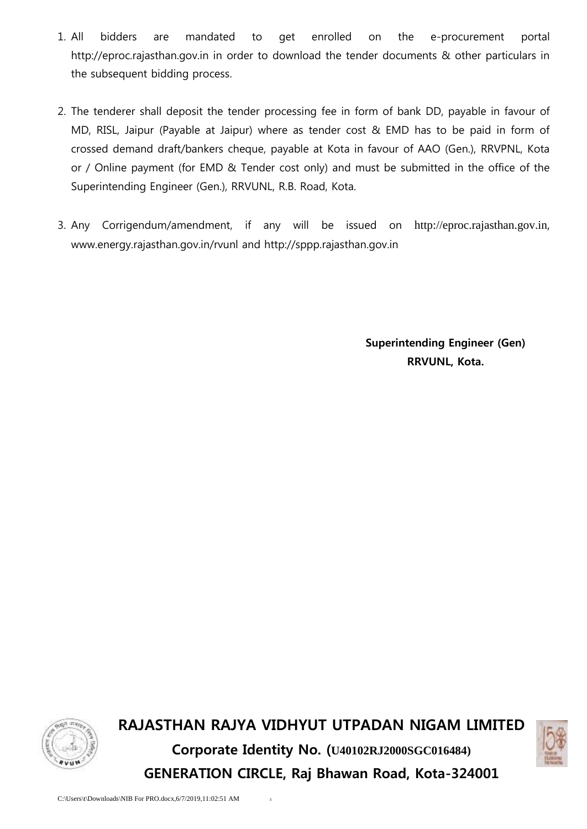- 1. All bidders are mandated to get enrolled on the e-procurement portal http://eproc.rajasthan.gov.in in order to download the tender documents & other particulars in the subsequent bidding process.
- 2. The tenderer shall deposit the tender processing fee in form of bank DD, payable in favour of MD, RISL, Jaipur (Payable at Jaipur) where as tender cost & EMD has to be paid in form of crossed demand draft/bankers cheque, payable at Kota in favour of AAO (Gen.), RRVPNL, Kota or / Online payment (for EMD & Tender cost only) and must be submitted in the office of the Superintending Engineer (Gen.), RRVUNL, R.B. Road, Kota.
- 3. Any Corrigendum/amendment, if any will be issued on [http://eproc.rajasthan.gov.in](http://eproc.rajasthan.gov.in/), www.energy.rajasthan.gov.in/rvunl and http://sppp.rajasthan.gov.in

**Superintending Engineer (Gen) RRVUNL, Kota.**



**RAJASTHAN RAJYA VIDHYUT UTPADAN NIGAM LIMITED Corporate Identity No. (U40102RJ2000SGC016484) GENERATION CIRCLE, Raj Bhawan Road, Kota-324001**